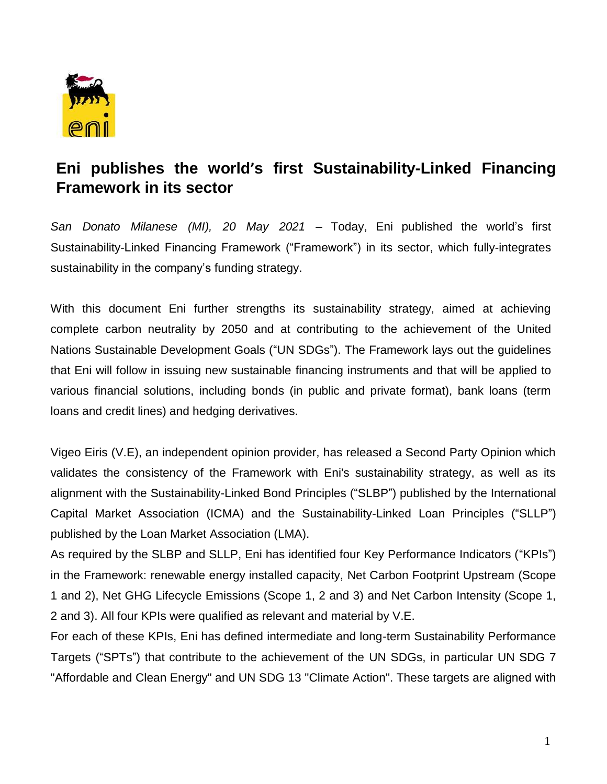

## **Eni publishes the world's first Sustainability-Linked Financing Framework in its sector**

*San Donato Milanese (MI), 20 May 2021* – Today, Eni published the world's first Sustainability-Linked Financing Framework ("Framework") in its sector, which fully-integrates sustainability in the company's funding strategy.

With this document Eni further strengths its sustainability strategy, aimed at achieving complete carbon neutrality by 2050 and at contributing to the achievement of the United Nations Sustainable Development Goals ("UN SDGs"). The Framework lays out the guidelines that Eni will follow in issuing new sustainable financing instruments and that will be applied to various financial solutions, including bonds (in public and private format), bank loans (term loans and credit lines) and hedging derivatives.

Vigeo Eiris (V.E), an independent opinion provider, has released a Second Party Opinion which validates the consistency of the Framework with Eni's sustainability strategy, as well as its alignment with the Sustainability-Linked Bond Principles ("SLBP") published by the International Capital Market Association (ICMA) and the Sustainability-Linked Loan Principles ("SLLP") published by the Loan Market Association (LMA).

As required by the SLBP and SLLP, Eni has identified four Key Performance Indicators ("KPIs") in the Framework: renewable energy installed capacity, Net Carbon Footprint Upstream (Scope 1 and 2), Net GHG Lifecycle Emissions (Scope 1, 2 and 3) and Net Carbon Intensity (Scope 1, 2 and 3). All four KPIs were qualified as relevant and material by V.E.

For each of these KPIs, Eni has defined intermediate and long-term Sustainability Performance Targets ("SPTs") that contribute to the achievement of the UN SDGs, in particular UN SDG 7 "Affordable and Clean Energy" and UN SDG 13 "Climate Action". These targets are aligned with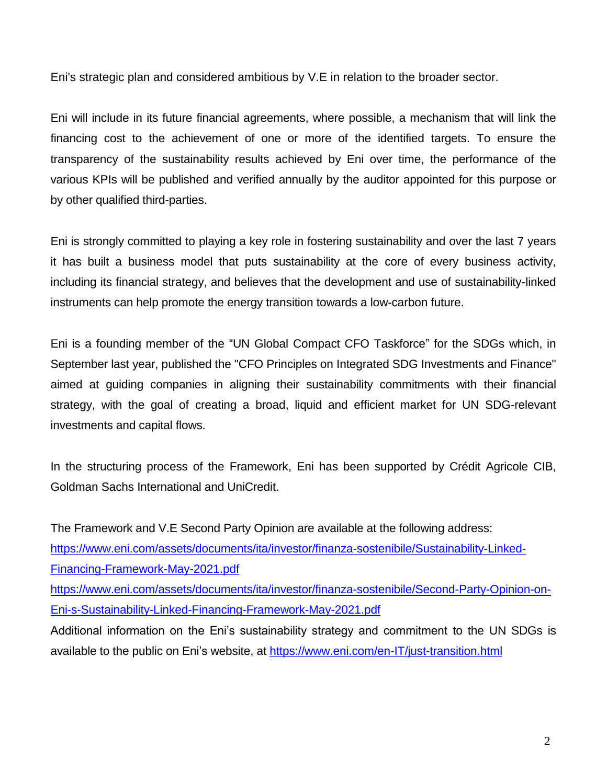Eni's strategic plan and considered ambitious by V.E in relation to the broader sector.

Eni will include in its future financial agreements, where possible, a mechanism that will link the financing cost to the achievement of one or more of the identified targets. To ensure the transparency of the sustainability results achieved by Eni over time, the performance of the various KPIs will be published and verified annually by the auditor appointed for this purpose or by other qualified third-parties.

Eni is strongly committed to playing a key role in fostering sustainability and over the last 7 years it has built a business model that puts sustainability at the core of every business activity, including its financial strategy, and believes that the development and use of sustainability-linked instruments can help promote the energy transition towards a low-carbon future.

Eni is a founding member of the "UN Global Compact CFO Taskforce" for the SDGs which, in September last year, published the "CFO Principles on Integrated SDG Investments and Finance" aimed at guiding companies in aligning their sustainability commitments with their financial strategy, with the goal of creating a broad, liquid and efficient market for UN SDG-relevant investments and capital flows.

In the structuring process of the Framework, Eni has been supported by Crédit Agricole CIB, Goldman Sachs International and UniCredit.

The Framework and V.E Second Party Opinion are available at the following address: [https://www.eni.com/assets/documents/ita/investor/finanza-sostenibile/Sustainability-Linked-](https://www.eni.com/assets/documents/ita/investor/finanza-sostenibile/Sustainability-Linked-Financing-Framework-May-2021.pdf)[Financing-Framework-May-2021.pdf](https://www.eni.com/assets/documents/ita/investor/finanza-sostenibile/Sustainability-Linked-Financing-Framework-May-2021.pdf) [https://www.eni.com/assets/documents/ita/investor/finanza-sostenibile/Second-Party-Opinion-on-](https://www.eni.com/assets/documents/ita/investor/finanza-sostenibile/Second-Party-Opinion-on-Eni-s-Sustainability-Linked-Financing-Framework-May-2021.pdf)[Eni-s-Sustainability-Linked-Financing-Framework-May-2021.pdf](https://www.eni.com/assets/documents/ita/investor/finanza-sostenibile/Second-Party-Opinion-on-Eni-s-Sustainability-Linked-Financing-Framework-May-2021.pdf) Additional information on the Eni's sustainability strategy and commitment to the UN SDGs is available to the public on Eni's website, at<https://www.eni.com/en-IT/just-transition.html>